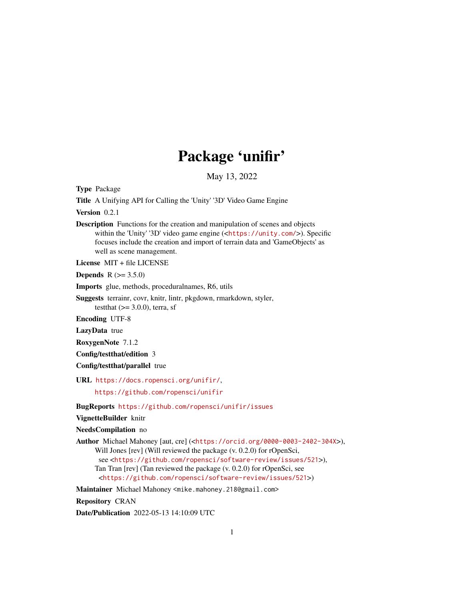# Package 'unifir'

May 13, 2022

<span id="page-0-0"></span>Type Package

Title A Unifying API for Calling the 'Unity' '3D' Video Game Engine

Version 0.2.1

Description Functions for the creation and manipulation of scenes and objects within the 'Unity' '3D' video game engine (<<https://unity.com/>>). Specific focuses include the creation and import of terrain data and 'GameObjects' as well as scene management.

License MIT + file LICENSE

**Depends** R  $(>= 3.5.0)$ 

Imports glue, methods, proceduralnames, R6, utils

Suggests terrainr, covr, knitr, lintr, pkgdown, rmarkdown, styler, testthat  $(>= 3.0.0)$ , terra, sf

Encoding UTF-8

LazyData true

RoxygenNote 7.1.2

Config/testthat/edition 3

Config/testthat/parallel true

URL <https://docs.ropensci.org/unifir/>,

<https://github.com/ropensci/unifir>

BugReports <https://github.com/ropensci/unifir/issues>

VignetteBuilder knitr

NeedsCompilation no

Author Michael Mahoney [aut, cre] (<<https://orcid.org/0000-0003-2402-304X>>), Will Jones [rev] (Will reviewed the package (v. 0.2.0) for rOpenSci, see <<https://github.com/ropensci/software-review/issues/521>>), Tan Tran [rev] (Tan reviewed the package (v. 0.2.0) for rOpenSci, see <<https://github.com/ropensci/software-review/issues/521>>)

Maintainer Michael Mahoney <mike.mahoney.218@gmail.com>

Repository CRAN

Date/Publication 2022-05-13 14:10:09 UTC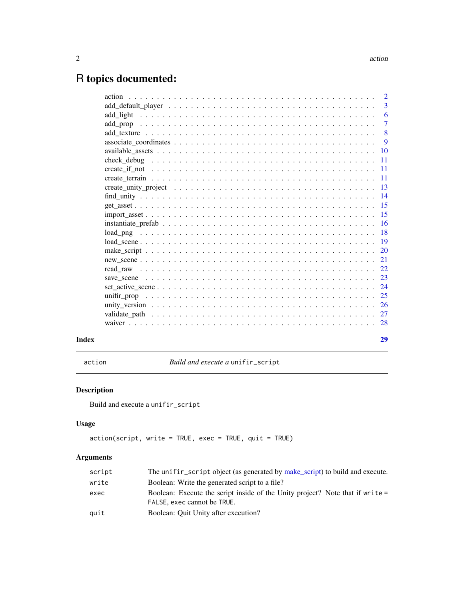## <span id="page-1-0"></span>R topics documented:

|       | $\overline{3}$ |
|-------|----------------|
|       | -6             |
|       | $\overline{7}$ |
|       | 8              |
|       | 9              |
|       |                |
|       |                |
|       |                |
|       |                |
|       |                |
|       |                |
|       |                |
|       |                |
|       |                |
|       |                |
|       |                |
|       |                |
|       |                |
|       |                |
|       |                |
|       |                |
|       |                |
|       |                |
|       |                |
|       |                |
| Index | 29             |
|       |                |

<span id="page-1-1"></span>action *Build and execute a* unifir\_script

### Description

Build and execute a unifir\_script

#### Usage

```
action(script, write = TRUE, exec = TRUE, quit = TRUE)
```

| script | The unifir_script object (as generated by make_script) to build and execute.                                 |
|--------|--------------------------------------------------------------------------------------------------------------|
| write  | Boolean: Write the generated script to a file?                                                               |
| exec   | Boolean: Execute the script inside of the Unity project? Note that if write =<br>FALSE, exec cannot be TRUE. |
| auit   | Boolean: Quit Unity after execution?                                                                         |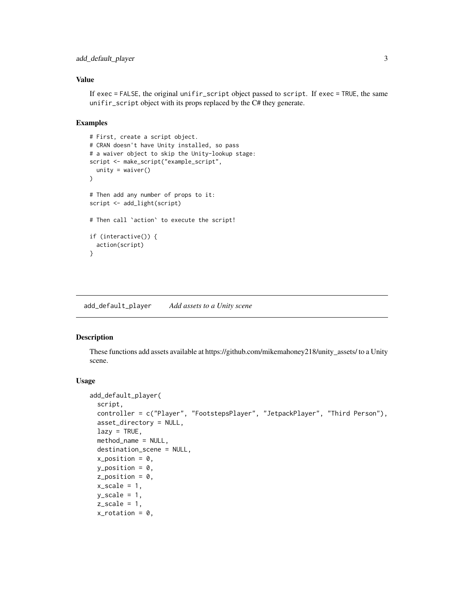#### <span id="page-2-0"></span>add\_default\_player 3

#### Value

If exec = FALSE, the original unifir\_script object passed to script. If exec = TRUE, the same unifir\_script object with its props replaced by the C# they generate.

#### Examples

```
# First, create a script object.
# CRAN doesn't have Unity installed, so pass
# a waiver object to skip the Unity-lookup stage:
script <- make_script("example_script",
  unity = waire()\lambda# Then add any number of props to it:
script <- add_light(script)
# Then call `action` to execute the script!
if (interactive()) {
  action(script)
}
```
<span id="page-2-1"></span>add\_default\_player *Add assets to a Unity scene*

#### <span id="page-2-2"></span>Description

These functions add assets available at https://github.com/mikemahoney218/unity\_assets/ to a Unity scene.

#### Usage

```
add_default_player(
  script,
  controller = c("Player", "FootstepsPlayer", "JetpackPlayer", "Third Person"),
  asset_directory = NULL,
  lazy = TRUE,method_name = NULL,
  destination_scene = NULL,
 x_{position} = 0,
 y_{\text{position}} = 0.
 z_{position} = 0,
  x_scale = 1,
 y_scale = 1,
  z_scale = 1,
  x\_rotation = 0,
```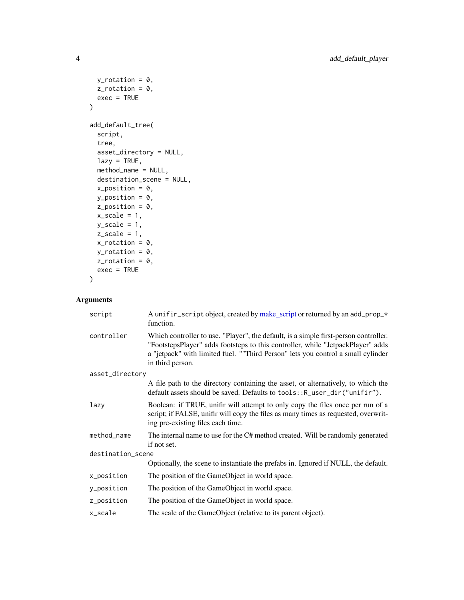```
y_{\text{-}rotation} = 0,
  z-rotation = \theta,
  exec = TRUE\mathcal{L}add_default_tree(
  script,
  tree,
  asset_directory = NULL,
  lazy = TRUE,method_name = NULL,
  destination_scene = NULL,
  x_{-}position = 0,
  y_position = 0,
  z_position = 0,
  x_scale = 1,
  y_scale = 1,
  z_scale = 1,
  x\_rotation = 0,
  y_{\text{-}rotation} = \emptyset,
  z-rotation = \theta,
  exec = TRUE)
```

| script            | A unifir script object, created by make script or returned by an add prop $\star$<br>function.                                                                                                                                                                                  |  |
|-------------------|---------------------------------------------------------------------------------------------------------------------------------------------------------------------------------------------------------------------------------------------------------------------------------|--|
| controller        | Which controller to use. "Player", the default, is a simple first-person controller.<br>"FootstepsPlayer" adds footsteps to this controller, while "JetpackPlayer" adds<br>a "jetpack" with limited fuel. ""Third Person" lets you control a small cylinder<br>in third person. |  |
| asset_directory   |                                                                                                                                                                                                                                                                                 |  |
|                   | A file path to the directory containing the asset, or alternatively, to which the<br>default assets should be saved. Defaults to tools:: R_user_dir("unifir").                                                                                                                  |  |
| lazy              | Boolean: if TRUE, unifir will attempt to only copy the files once per run of a<br>script; if FALSE, unifir will copy the files as many times as requested, overwrit-<br>ing pre-existing files each time.                                                                       |  |
| method_name       | The internal name to use for the C# method created. Will be randomly generated<br>if not set.                                                                                                                                                                                   |  |
| destination_scene |                                                                                                                                                                                                                                                                                 |  |
|                   | Optionally, the scene to instantiate the prefabs in. Ignored if NULL, the default.                                                                                                                                                                                              |  |
| x_position        | The position of the GameObject in world space.                                                                                                                                                                                                                                  |  |
| y_position        | The position of the GameObject in world space.                                                                                                                                                                                                                                  |  |
| z_position        | The position of the GameObject in world space.                                                                                                                                                                                                                                  |  |
| x_scale           | The scale of the GameObject (relative to its parent object).                                                                                                                                                                                                                    |  |

<span id="page-3-0"></span>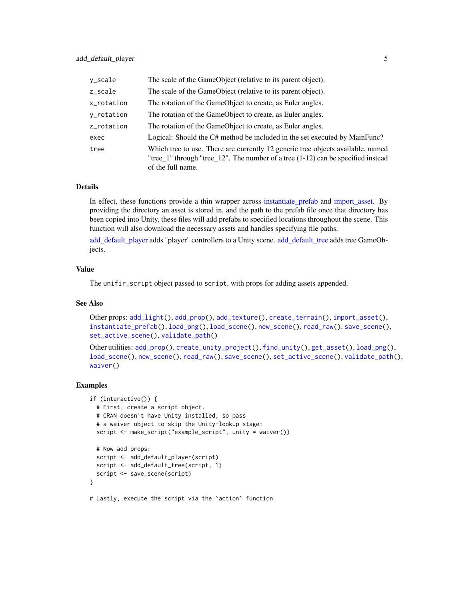<span id="page-4-0"></span>

| y_scale    | The scale of the GameObject (relative to its parent object).                                                                                                                               |
|------------|--------------------------------------------------------------------------------------------------------------------------------------------------------------------------------------------|
| z_scale    | The scale of the GameObject (relative to its parent object).                                                                                                                               |
| x_rotation | The rotation of the GameObject to create, as Euler angles.                                                                                                                                 |
| y_rotation | The rotation of the GameObject to create, as Euler angles.                                                                                                                                 |
| z_rotation | The rotation of the GameObject to create, as Euler angles.                                                                                                                                 |
| exec       | Logical: Should the C# method be included in the set executed by MainFunc?                                                                                                                 |
| tree       | Which tree to use. There are currently 12 generic tree objects available, named<br>"tree_1" through "tree_12". The number of a tree $(1-12)$ can be specified instead<br>of the full name. |

#### Details

In effect, these functions provide a thin wrapper across [instantiate\\_prefab](#page-15-1) and [import\\_asset.](#page-14-1) By providing the directory an asset is stored in, and the path to the prefab file once that directory has been copied into Unity, these files will add prefabs to specified locations throughout the scene. This function will also download the necessary assets and handles specifying file paths.

[add\\_default\\_player](#page-2-1) adds "player" controllers to a Unity scene. [add\\_default\\_tree](#page-2-2) adds tree GameObjects.

#### Value

The unifir\_script object passed to script, with props for adding assets appended.

#### See Also

```
Other props: add_light(), add_prop(), add_texture(), create_terrain(), import_asset(),
instantiate_prefab(), load_png(), load_scene(), new_scene(), read_raw(), save_scene(),
set_active_scene(), validate_path()
```
Other utilities: [add\\_prop\(](#page-6-1)), [create\\_unity\\_project\(](#page-12-1)), [find\\_unity\(](#page-13-1)), [get\\_asset\(](#page-14-2)), [load\\_png\(](#page-17-1)), [load\\_scene\(](#page-18-1)), [new\\_scene\(](#page-20-1)), [read\\_raw\(](#page-21-1)), [save\\_scene\(](#page-22-1)), [set\\_active\\_scene\(](#page-23-1)), [validate\\_path\(](#page-26-1)), [waiver\(](#page-27-1))

```
if (interactive()) {
 # First, create a script object.
 # CRAN doesn't have Unity installed, so pass
 # a waiver object to skip the Unity-lookup stage:
 script <- make_script("example_script", unity = waiver())
 # Now add props:
 script <- add_default_player(script)
 script <- add_default_tree(script, 1)
 script <- save_scene(script)
}
# Lastly, execute the script via the `action` function
```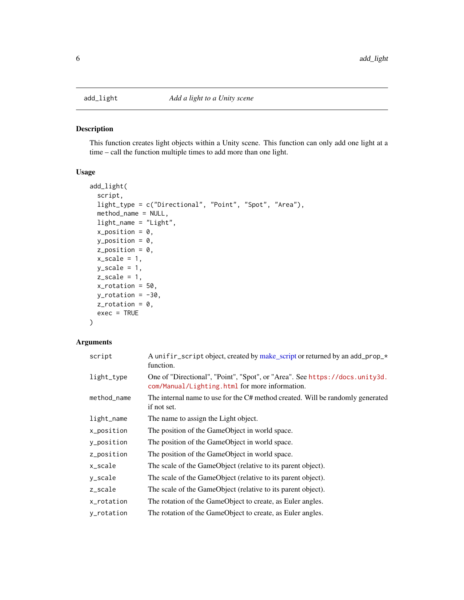<span id="page-5-1"></span><span id="page-5-0"></span>

This function creates light objects within a Unity scene. This function can only add one light at a time – call the function multiple times to add more than one light.

#### Usage

```
add_light(
  script,
  light_type = c("Directional", "Point", "Spot", "Area"),
 method_name = NULL,
  light_name = "Light",
  x_{position} = 0,
 y_{-}position = 0,
  z_position = 0,
  x_scale = 1,
 y_scale = 1,
  z_scale = 1,
  x\_rotation = 50,
 y_{\text{rotation}} = -30,
  z-rotation = 0,
  exec = TRUE
)
```

| script      | A unifir_script object, created by make_script or returned by an add_prop_*<br>function.                                      |
|-------------|-------------------------------------------------------------------------------------------------------------------------------|
| light_type  | One of "Directional", "Point", "Spot", or "Area". See https://docs.unity3d.<br>com/Manual/Lighting.html for more information. |
| method_name | The internal name to use for the C# method created. Will be randomly generated<br>if not set.                                 |
| light_name  | The name to assign the Light object.                                                                                          |
| x_position  | The position of the GameObject in world space.                                                                                |
| y_position  | The position of the GameObject in world space.                                                                                |
| z_position  | The position of the GameObject in world space.                                                                                |
| x_scale     | The scale of the GameObject (relative to its parent object).                                                                  |
| y_scale     | The scale of the GameObject (relative to its parent object).                                                                  |
| z_scale     | The scale of the GameObject (relative to its parent object).                                                                  |
| x_rotation  | The rotation of the GameObject to create, as Euler angles.                                                                    |
| y_rotation  | The rotation of the GameObject to create, as Euler angles.                                                                    |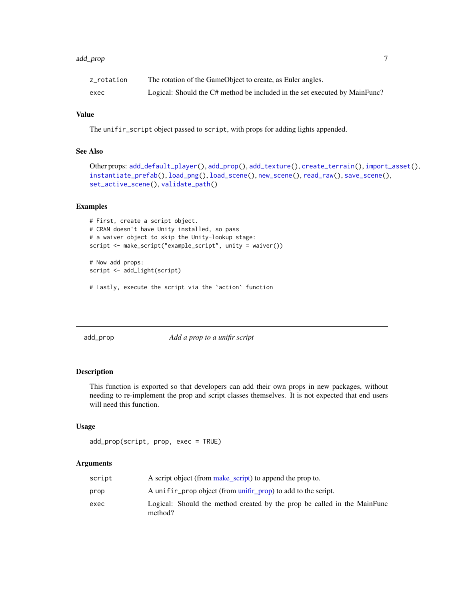#### <span id="page-6-0"></span>add\_prop 7 to 200 minutes and 200 minutes and 200 minutes and 200 minutes and 200 minutes and 200 minutes and 200 minutes and 200 minutes and 200 minutes and 200 minutes and 200 minutes and 200 minutes and 200 minutes and

| z_rotation | The rotation of the GameObject to create, as Euler angles.                 |
|------------|----------------------------------------------------------------------------|
| exec       | Logical: Should the C# method be included in the set executed by MainFunc? |

#### Value

The unifir\_script object passed to script, with props for adding lights appended.

#### See Also

```
Other props: add_default_player(), add_prop(), add_texture(), create_terrain(), import_asset(),
instantiate_prefab(), load_png(), load_scene(), new_scene(), read_raw(), save_scene(),
set_active_scene(), validate_path()
```
#### Examples

```
# First, create a script object.
# CRAN doesn't have Unity installed, so pass
# a waiver object to skip the Unity-lookup stage:
script <- make_script("example_script", unity = waiver())
# Now add props:
script <- add_light(script)
```
# Lastly, execute the script via the `action` function

<span id="page-6-1"></span>add\_prop *Add a prop to a unifir script*

#### Description

This function is exported so that developers can add their own props in new packages, without needing to re-implement the prop and script classes themselves. It is not expected that end users will need this function.

#### Usage

```
add_prop(script, prop, exec = TRUE)
```

| script | A script object (from make script) to append the prop to.                           |
|--------|-------------------------------------------------------------------------------------|
| prop   | A unifir prop object (from unifir prop) to add to the script.                       |
| exec   | Logical: Should the method created by the prop be called in the MainFunc<br>method? |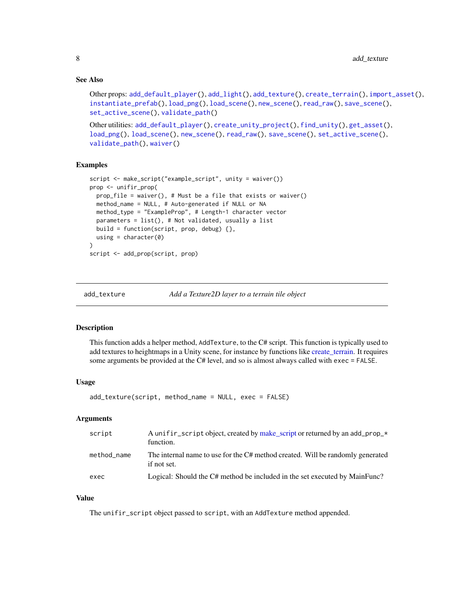#### <span id="page-7-0"></span>See Also

```
Other props: add_default_player(), add_light(), add_texture(), create_terrain(), import_asset(),
instantiate_prefab(), load_png(), load_scene(), new_scene(), read_raw(), save_scene(),
set_active_scene(), validate_path()
```

```
Other utilities: add_default_player(), create_unity_project(), find_unity(), get_asset(),
load_png(), load_scene(), new_scene(), read_raw(), save_scene(), set_active_scene(),
validate_path(), waiver()
```
#### Examples

```
script <- make_script("example_script", unity = waiver())
prop <- unifir_prop(
 prop_file = waiver(), # Must be a file that exists or waiver()
 method_name = NULL, # Auto-generated if NULL or NA
 method_type = "ExampleProp", # Length-1 character vector
 parameters = list(), # Not validated, usually a list
 build = function(script, prop, debug) {},
 using = character(0)
)
script <- add_prop(script, prop)
```
<span id="page-7-1"></span>add\_texture *Add a Texture2D layer to a terrain tile object*

#### Description

This function adds a helper method, AddTexture, to the C# script. This function is typically used to add textures to heightmaps in a Unity scene, for instance by functions like [create\\_terrain.](#page-10-1) It requires some arguments be provided at the C# level, and so is almost always called with exec = FALSE.

#### Usage

```
add_texture(script, method_name = NULL, exec = FALSE)
```
#### Arguments

| script      | A unifir_script object, created by make_script or returned by an add_prop_*<br>function.      |
|-------------|-----------------------------------------------------------------------------------------------|
| method name | The internal name to use for the C# method created. Will be randomly generated<br>if not set. |
| exec        | Logical: Should the C# method be included in the set executed by MainFunc?                    |

#### Value

The unifir\_script object passed to script, with an AddTexture method appended.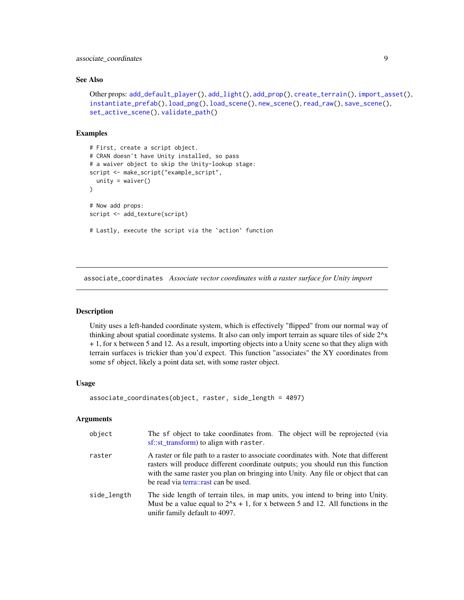<span id="page-8-0"></span>associate\_coordinates 9

#### See Also

```
Other props: add_default_player(), add_light(), add_prop(), create_terrain(), import_asset(),
instantiate_prefab(), load_png(), load_scene(), new_scene(), read_raw(), save_scene(),
set_active_scene(), validate_path()
```
#### Examples

```
# First, create a script object.
# CRAN doesn't have Unity installed, so pass
# a waiver object to skip the Unity-lookup stage:
script <- make_script("example_script",
  unity = waire())
# Now add props:
script <- add_texture(script)
# Lastly, execute the script via the `action` function
```
associate\_coordinates *Associate vector coordinates with a raster surface for Unity import*

#### Description

Unity uses a left-handed coordinate system, which is effectively "flipped" from our normal way of thinking about spatial coordinate systems. It also can only import terrain as square tiles of side 2^x + 1, for x between 5 and 12. As a result, importing objects into a Unity scene so that they align with terrain surfaces is trickier than you'd expect. This function "associates" the XY coordinates from some sf object, likely a point data set, with some raster object.

#### Usage

```
associate_coordinates(object, raster, side_length = 4097)
```

| object      | The sf object to take coordinates from. The object will be reprojected (via<br>sf::st_transform) to align with raster.                                                                                                                                                                               |  |
|-------------|------------------------------------------------------------------------------------------------------------------------------------------------------------------------------------------------------------------------------------------------------------------------------------------------------|--|
| raster      | A raster or file path to a raster to associate coordinates with. Note that different<br>rasters will produce different coordinate outputs; you should run this function<br>with the same raster you plan on bringing into Unity. Any file or object that can<br>be read via terra::rast can be used. |  |
| side_length | The side length of terrain tiles, in map units, you intend to bring into Unity.<br>Must be a value equal to $2^x + 1$ , for x between 5 and 12. All functions in the<br>unifir family default to 4097.                                                                                               |  |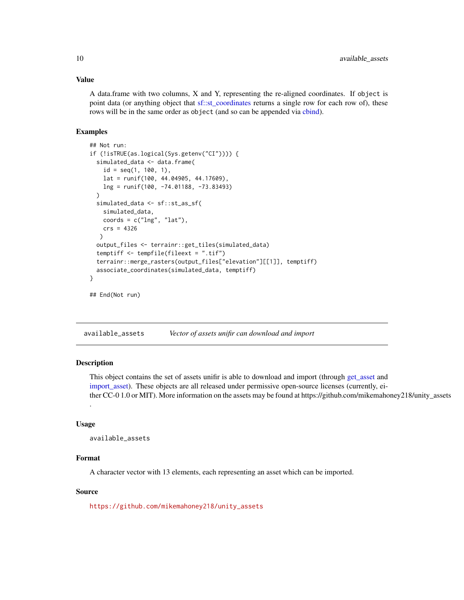#### Value

A data.frame with two columns, X and Y, representing the re-aligned coordinates. If object is point data (or anything object that [sf::st\\_coordinates](#page-0-0) returns a single row for each row of), these rows will be in the same order as object (and so can be appended via [cbind\)](#page-0-0).

#### Examples

```
## Not run:
if (!isTRUE(as.logical(Sys.getenv("CI")))) {
 simulated_data <- data.frame(
    id = seq(1, 100, 1),lat = runif(100, 44.04905, 44.17609),
   lng = runif(100, -74.01188, -73.83493)
 \lambdasimulated_data <- sf::st_as_sf(
    simulated_data,
   coords = c("Ing", "lat"),crs = 4326
  )
 output_files <- terrainr::get_tiles(simulated_data)
 temptiff <- tempfile(fileext = ".tif")
 terrainr::merge_rasters(output_files["elevation"][[1]], temptiff)
 associate_coordinates(simulated_data, temptiff)
}
```

```
## End(Not run)
```
<span id="page-9-1"></span>available\_assets *Vector of assets unifir can download and import*

#### **Description**

This object contains the set of assets unifir is able to download and import (through [get\\_asset](#page-14-2) and [import\\_asset\)](#page-14-1). These objects are all released under permissive open-source licenses (currently, either CC-0 1.0 or MIT). More information on the assets may be found at https://github.com/mikemahoney218/unity\_assets .

#### Usage

```
available_assets
```
#### Format

A character vector with 13 elements, each representing an asset which can be imported.

#### Source

[https://github.com/mikemahoney218/unity\\_assets](https://github.com/mikemahoney218/unity_assets)

<span id="page-9-0"></span>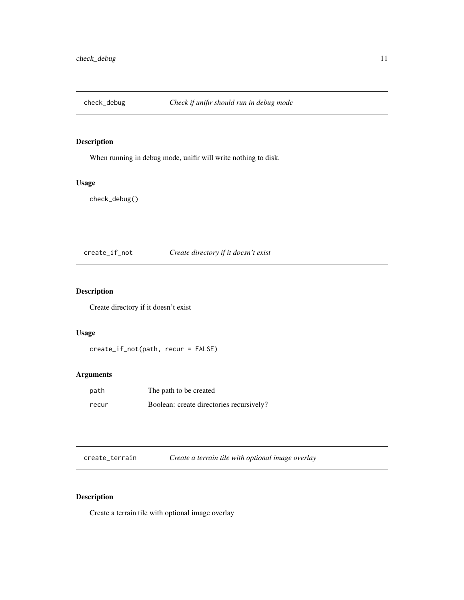<span id="page-10-0"></span>

When running in debug mode, unifir will write nothing to disk.

#### Usage

check\_debug()

create\_if\_not *Create directory if it doesn't exist*

#### Description

Create directory if it doesn't exist

#### Usage

create\_if\_not(path, recur = FALSE)

#### Arguments

| path  | The path to be created                   |
|-------|------------------------------------------|
| recur | Boolean: create directories recursively? |

<span id="page-10-1"></span>

| create_terrain | Create a terrain tile with optional image overlay |  |
|----------------|---------------------------------------------------|--|
|----------------|---------------------------------------------------|--|

#### Description

Create a terrain tile with optional image overlay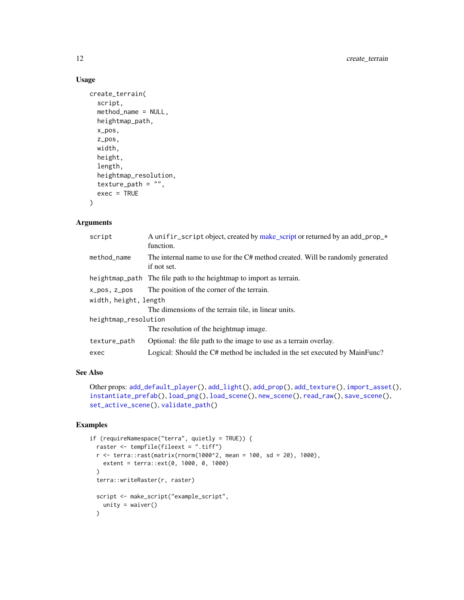#### Usage

```
create_terrain(
  script,
  method_name = NULL,
 heightmap_path,
  x_pos,
  z_pos,
 width,
  height,
  length,
  heightmap_resolution,
  texture_path = ",
  exec = TRUE\mathcal{L}
```
#### Arguments

| script                | A unifir script object, created by make script or returned by an add prop $\star$<br>function. |  |
|-----------------------|------------------------------------------------------------------------------------------------|--|
| method name           | The internal name to use for the C# method created. Will be randomly generated<br>if not set.  |  |
|                       | heightmap_path The file path to the heightmap to import as terrain.                            |  |
| x_pos, z_pos          | The position of the corner of the terrain.                                                     |  |
| width, height, length |                                                                                                |  |
|                       | The dimensions of the terrain tile, in linear units.                                           |  |
| heightmap_resolution  |                                                                                                |  |
|                       | The resolution of the heightmap image.                                                         |  |
| texture_path          | Optional: the file path to the image to use as a terrain overlay.                              |  |
| exec                  | Logical: Should the C# method be included in the set executed by MainFunc?                     |  |

#### See Also

```
Other props: add_default_player(), add_light(), add_prop(), add_texture(), import_asset(),
instantiate_prefab(), load_png(), load_scene(), new_scene(), read_raw(), save_scene(),
set_active_scene(), validate_path()
```

```
if (requireNamespace("terra", quietly = TRUE)) {
 raster <- tempfile(fileext = ".tiff")
 r <- terra::rast(matrix(rnorm(1000^2, mean = 100, sd = 20), 1000),
   extent = terra::ext(0, 1000, 0, 1000)
 \mathcal{L}terra::writeRaster(r, raster)
 script <- make_script("example_script",
   unity = waiver())
```
<span id="page-11-0"></span>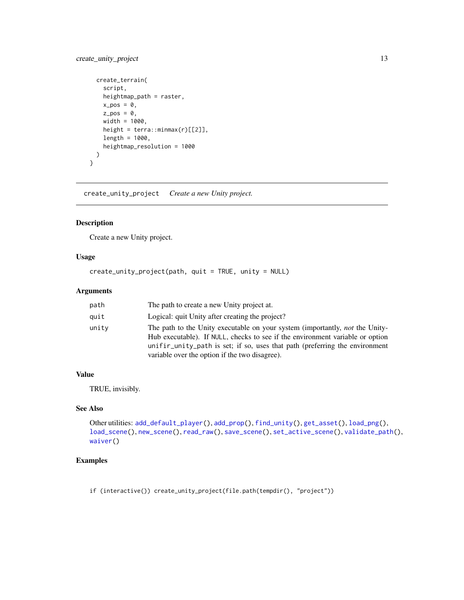#### <span id="page-12-0"></span>create\_unity\_project 13

```
create_terrain(
   script,
   heightmap_path = raster,
   x_{pos} = 0,
   z_{pos} = 0,
   width = 1000,
   height = terra::minmax(r)[[2]],
   length = 1000,
   heightmap_resolution = 1000
 )
}
```
<span id="page-12-1"></span>create\_unity\_project *Create a new Unity project.*

#### Description

Create a new Unity project.

#### Usage

```
create_unity_project(path, quit = TRUE, unity = NULL)
```
#### Arguments

| path  | The path to create a new Unity project at.                                                                                                                                                                                                                                                            |
|-------|-------------------------------------------------------------------------------------------------------------------------------------------------------------------------------------------------------------------------------------------------------------------------------------------------------|
| quit  | Logical: quit Unity after creating the project?                                                                                                                                                                                                                                                       |
| unitv | The path to the Unity executable on your system (importantly, <i>not</i> the Unity-<br>Hub executable). If NULL, checks to see if the environment variable or option<br>unifir_unity_path is set; if so, uses that path (preferring the environment<br>variable over the option if the two disagree). |

#### Value

TRUE, invisibly.

#### See Also

```
Other utilities: add_default_player(), add_prop(), find_unity(), get_asset(), load_png(),
load_scene(), new_scene(), read_raw(), save_scene(), set_active_scene(), validate_path(),
waiver()
```
#### Examples

if (interactive()) create\_unity\_project(file.path(tempdir(), "project"))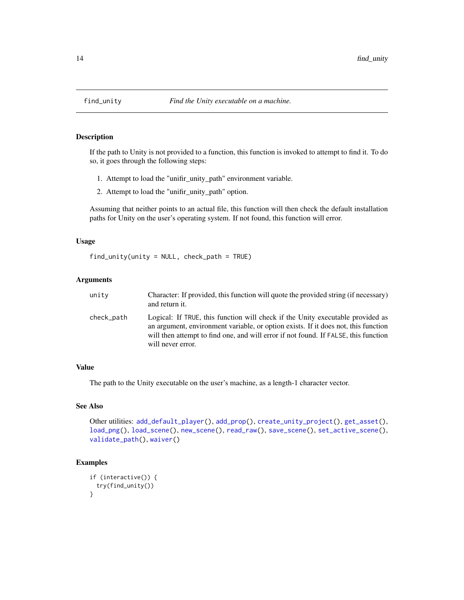If the path to Unity is not provided to a function, this function is invoked to attempt to find it. To do so, it goes through the following steps:

- 1. Attempt to load the "unifir\_unity\_path" environment variable.
- 2. Attempt to load the "unifir\_unity\_path" option.

Assuming that neither points to an actual file, this function will then check the default installation paths for Unity on the user's operating system. If not found, this function will error.

#### Usage

find\_unity(unity = NULL, check\_path = TRUE)

#### Arguments

| unity      | Character: If provided, this function will quote the provided string (if necessary)<br>and return it.                                                                                                                                                                            |
|------------|----------------------------------------------------------------------------------------------------------------------------------------------------------------------------------------------------------------------------------------------------------------------------------|
| check_path | Logical: If TRUE, this function will check if the Unity executable provided as<br>an argument, environment variable, or option exists. If it does not, this function<br>will then attempt to find one, and will error if not found. If FALSE, this function<br>will never error. |

#### Value

The path to the Unity executable on the user's machine, as a length-1 character vector.

#### See Also

```
Other utilities: add_default_player(), add_prop(), create_unity_project(), get_asset(),
load_png(), load_scene(), new_scene(), read_raw(), save_scene(), set_active_scene(),
validate_path(), waiver()
```

```
if (interactive()) {
 try(find_unity())
}
```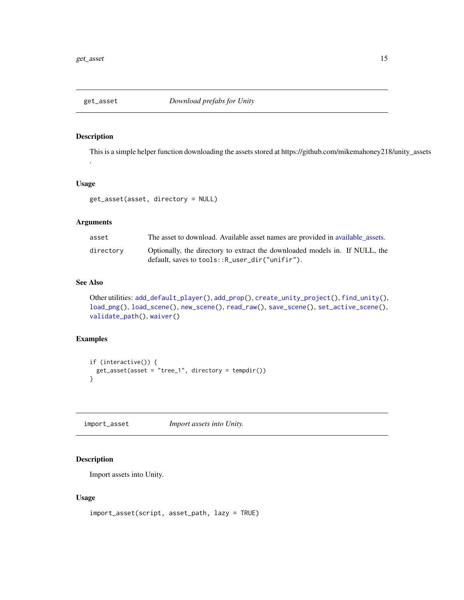<span id="page-14-2"></span><span id="page-14-0"></span>

.

This is a simple helper function downloading the assets stored at https://github.com/mikemahoney218/unity\_assets

#### Usage

get\_asset(asset, directory = NULL)

#### Arguments

| asset     | The asset to download. Available asset names are provided in available assets.                                                 |
|-----------|--------------------------------------------------------------------------------------------------------------------------------|
| directory | Optionally, the directory to extract the downloaded models in. If NULL, the<br>default, saves to tools:: R_user_dir("unifir"). |

#### See Also

```
Other utilities: add_default_player(), add_prop(), create_unity_project(), find_unity(),
load_png(), load_scene(), new_scene(), read_raw(), save_scene(), set_active_scene(),
validate_path(), waiver()
```
#### Examples

```
if (interactive()) {
 get_asset(asset = "tree_1", directory = tempdir())
}
```
<span id="page-14-1"></span>import\_asset *Import assets into Unity.*

#### Description

Import assets into Unity.

#### Usage

```
import_asset(script, asset_path, lazy = TRUE)
```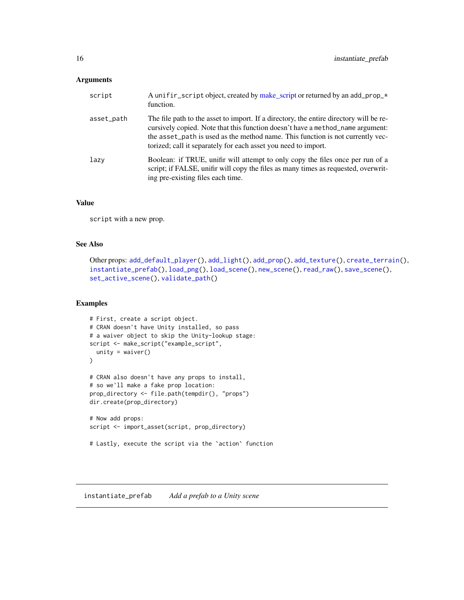#### <span id="page-15-0"></span>Arguments

| script     | A unifir_script object, created by make_script or returned by an add_prop_*<br>function.                                                                                                                                                                                                                                     |
|------------|------------------------------------------------------------------------------------------------------------------------------------------------------------------------------------------------------------------------------------------------------------------------------------------------------------------------------|
| asset_path | The file path to the asset to import. If a directory, the entire directory will be re-<br>cursively copied. Note that this function doesn't have a method_name argument:<br>the asset_path is used as the method name. This function is not currently vec-<br>torized; call it separately for each asset you need to import. |
| lazy       | Boolean: if TRUE, unifir will attempt to only copy the files once per run of a<br>script; if FALSE, unifir will copy the files as many times as requested, overwrit-<br>ing pre-existing files each time.                                                                                                                    |

#### Value

script with a new prop.

#### See Also

```
add_default_player(add_light(add_prop(add_texture(create_terrain(),
instantiate_prefab(), load_png(), load_scene(), new_scene(), read_raw(), save_scene(),
set_active_scene(), validate_path()
```
#### Examples

```
# First, create a script object.
# CRAN doesn't have Unity installed, so pass
# a waiver object to skip the Unity-lookup stage:
script <- make_script("example_script",
 unity = waiver()
)
# CRAN also doesn't have any props to install,
# so we'll make a fake prop location:
prop_directory <- file.path(tempdir(), "props")
dir.create(prop_directory)
# Now add props:
script <- import_asset(script, prop_directory)
# Lastly, execute the script via the `action` function
```
<span id="page-15-1"></span>instantiate\_prefab *Add a prefab to a Unity scene*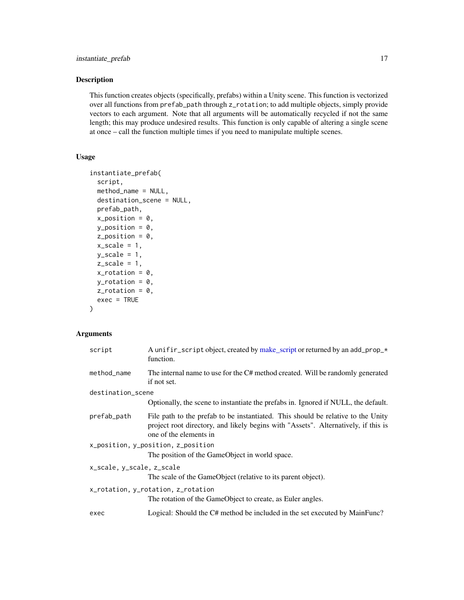This function creates objects (specifically, prefabs) within a Unity scene. This function is vectorized over all functions from prefab\_path through z\_rotation; to add multiple objects, simply provide vectors to each argument. Note that all arguments will be automatically recycled if not the same length; this may produce undesired results. This function is only capable of altering a single scene at once – call the function multiple times if you need to manipulate multiple scenes.

#### Usage

```
instantiate_prefab(
  script,
  method_name = NULL,
  destination_scene = NULL,
  prefab_path,
  x_{position} = 0,
  y_{\text{position}} = 0,
  z_position = 0,
  x_scale = 1,
 y_scale = 1,
  z_scale = 1,
 x_{\text{r}} otation = 0,
 y_{\text{r}}otation = 0,
 z-rotation = 0,
  exec = TRUE)
```

| script                             | A unifir_script object, created by make_script or returned by an add_prop_*<br>function.                                                                                                         |  |
|------------------------------------|--------------------------------------------------------------------------------------------------------------------------------------------------------------------------------------------------|--|
| method_name                        | The internal name to use for the C# method created. Will be randomly generated<br>if not set.                                                                                                    |  |
| destination_scene                  |                                                                                                                                                                                                  |  |
|                                    | Optionally, the scene to instantiate the prefabs in. Ignored if NULL, the default.                                                                                                               |  |
| prefab_path                        | File path to the prefab to be instantiated. This should be relative to the Unity<br>project root directory, and likely begins with "Assets". Alternatively, if this is<br>one of the elements in |  |
| x_position, y_position, z_position |                                                                                                                                                                                                  |  |
|                                    | The position of the GameObject in world space.                                                                                                                                                   |  |
| x_scale, y_scale, z_scale          |                                                                                                                                                                                                  |  |
|                                    | The scale of the GameObject (relative to its parent object).                                                                                                                                     |  |
| x_rotation, y_rotation, z_rotation |                                                                                                                                                                                                  |  |
|                                    | The rotation of the GameObject to create, as Euler angles.                                                                                                                                       |  |
| exec                               | Logical: Should the C# method be included in the set executed by MainFunc?                                                                                                                       |  |
|                                    |                                                                                                                                                                                                  |  |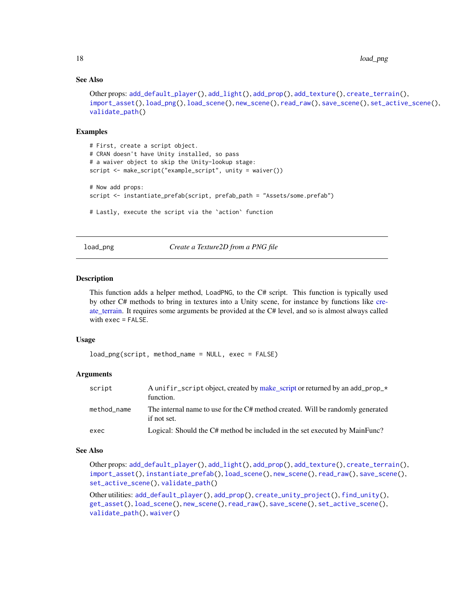#### See Also

```
Other props: add_default_player(), add_light(), add_prop(), add_texture(), create_terrain(),
import_asset(), load_png(), load_scene(), new_scene(), read_raw(), save_scene(), set_active_scene(),
validate_path()
```
#### Examples

```
# First, create a script object.
# CRAN doesn't have Unity installed, so pass
# a waiver object to skip the Unity-lookup stage:
script <- make_script("example_script", unity = waiver())
# Now add props:
script <- instantiate_prefab(script, prefab_path = "Assets/some.prefab")
# Lastly, execute the script via the `action` function
```
<span id="page-17-1"></span>load\_png *Create a Texture2D from a PNG file*

#### Description

This function adds a helper method, LoadPNG, to the C# script. This function is typically used by other C# methods to bring in textures into a Unity scene, for instance by functions like [cre](#page-10-1)[ate\\_terrain.](#page-10-1) It requires some arguments be provided at the C# level, and so is almost always called with exec = FALSE.

#### Usage

```
load_png(script, method_name = NULL, exec = FALSE)
```
#### Arguments

| script      | A unifir script object, created by make script or returned by an add prop $\star$<br>function. |
|-------------|------------------------------------------------------------------------------------------------|
| method name | The internal name to use for the C# method created. Will be randomly generated<br>if not set.  |
| exec        | Logical: Should the C# method be included in the set executed by MainFunc?                     |

#### See Also

Other props: [add\\_default\\_player\(](#page-2-1)), [add\\_light\(](#page-5-1)), [add\\_prop\(](#page-6-1)), [add\\_texture\(](#page-7-1)), [create\\_terrain\(](#page-10-1)), [import\\_asset\(](#page-14-1)), [instantiate\\_prefab\(](#page-15-1)), [load\\_scene\(](#page-18-1)), [new\\_scene\(](#page-20-1)), [read\\_raw\(](#page-21-1)), [save\\_scene\(](#page-22-1)), [set\\_active\\_scene\(](#page-23-1)), [validate\\_path\(](#page-26-1))

Other utilities: [add\\_default\\_player\(](#page-2-1)), [add\\_prop\(](#page-6-1)), [create\\_unity\\_project\(](#page-12-1)), [find\\_unity\(](#page-13-1)), [get\\_asset\(](#page-14-2)), [load\\_scene\(](#page-18-1)), [new\\_scene\(](#page-20-1)), [read\\_raw\(](#page-21-1)), [save\\_scene\(](#page-22-1)), [set\\_active\\_scene\(](#page-23-1)), [validate\\_path\(](#page-26-1)), [waiver\(](#page-27-1))

<span id="page-17-0"></span>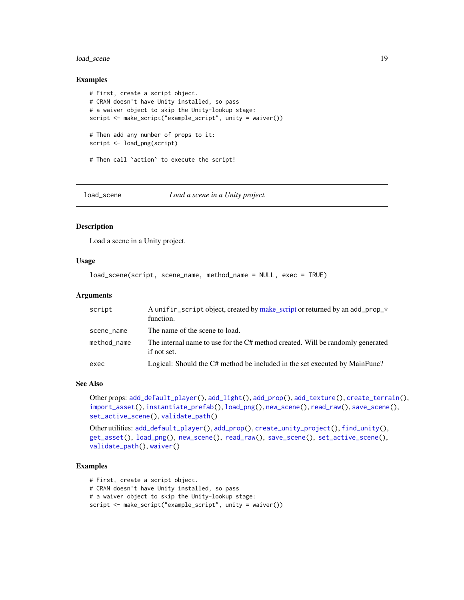#### <span id="page-18-0"></span>load\_scene 19

#### Examples

```
# First, create a script object.
# CRAN doesn't have Unity installed, so pass
# a waiver object to skip the Unity-lookup stage:
script <- make_script("example_script", unity = waiver())
# Then add any number of props to it:
script <- load_png(script)
# Then call `action` to execute the script!
```
<span id="page-18-1"></span>

load\_scene *Load a scene in a Unity project.*

#### Description

Load a scene in a Unity project.

#### Usage

load\_scene(script, scene\_name, method\_name = NULL, exec = TRUE)

#### Arguments

| script      | A unifir_script object, created by make_script or returned by an add_prop_*<br>function.      |
|-------------|-----------------------------------------------------------------------------------------------|
| scene_name  | The name of the scene to load.                                                                |
| method_name | The internal name to use for the C# method created. Will be randomly generated<br>if not set. |
| exec        | Logical: Should the C# method be included in the set executed by MainFunc?                    |

#### See Also

Other props: [add\\_default\\_player\(](#page-2-1)), [add\\_light\(](#page-5-1)), [add\\_prop\(](#page-6-1)), [add\\_texture\(](#page-7-1)), [create\\_terrain\(](#page-10-1)), [import\\_asset\(](#page-14-1)), [instantiate\\_prefab\(](#page-15-1)), [load\\_png\(](#page-17-1)), [new\\_scene\(](#page-20-1)), [read\\_raw\(](#page-21-1)), [save\\_scene\(](#page-22-1)), [set\\_active\\_scene\(](#page-23-1)), [validate\\_path\(](#page-26-1))

Other utilities: [add\\_default\\_player\(](#page-2-1)), [add\\_prop\(](#page-6-1)), [create\\_unity\\_project\(](#page-12-1)), [find\\_unity\(](#page-13-1)), [get\\_asset\(](#page-14-2)), [load\\_png\(](#page-17-1)), [new\\_scene\(](#page-20-1)), [read\\_raw\(](#page-21-1)), [save\\_scene\(](#page-22-1)), [set\\_active\\_scene\(](#page-23-1)), [validate\\_path\(](#page-26-1)), [waiver\(](#page-27-1))

- # First, create a script object.
- # CRAN doesn't have Unity installed, so pass
- # a waiver object to skip the Unity-lookup stage:
- script <- make\_script("example\_script", unity = waiver())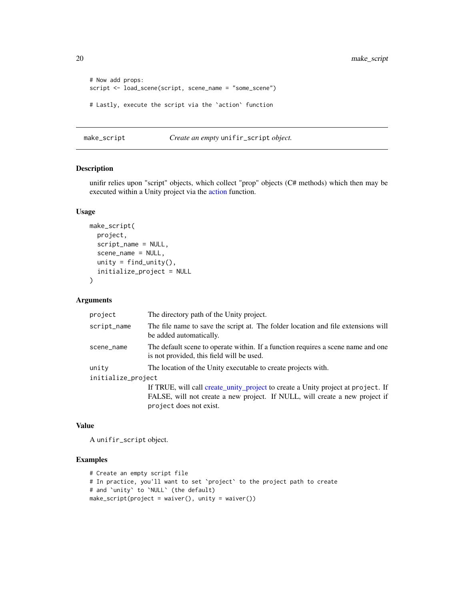<span id="page-19-0"></span>20 make\_script

```
# Now add props:
script <- load_scene(script, scene_name = "some_scene")
# Lastly, execute the script via the `action` function
```
<span id="page-19-1"></span>make\_script *Create an empty* unifir\_script *object.*

#### Description

unifir relies upon "script" objects, which collect "prop" objects (C# methods) which then may be executed within a Unity project via the [action](#page-1-1) function.

#### Usage

```
make_script(
 project,
  script_name = NULL,
  scene_name = NULL,
 unity = find\_unity(),
  initialize_project = NULL
)
```
#### Arguments

| project            | The directory path of the Unity project.                                                                                                                        |
|--------------------|-----------------------------------------------------------------------------------------------------------------------------------------------------------------|
| script_name        | The file name to save the script at. The folder location and file extensions will<br>be added automatically.                                                    |
| scene_name         | The default scene to operate within. If a function requires a scene name and one<br>is not provided, this field will be used.                                   |
| unity              | The location of the Unity executable to create projects with.                                                                                                   |
| initialize_project |                                                                                                                                                                 |
|                    | If TRUE, will call create_unity_project to create a Unity project at project. If<br>FALSE, will not create a new project. If NULL, will create a new project if |

#### Value

A unifir\_script object.

#### Examples

```
# Create an empty script file
# In practice, you'll want to set `project` to the project path to create
# and `unity` to `NULL` (the default)
make_script(project = waiver(), unity = waiver())
```
project does not exist.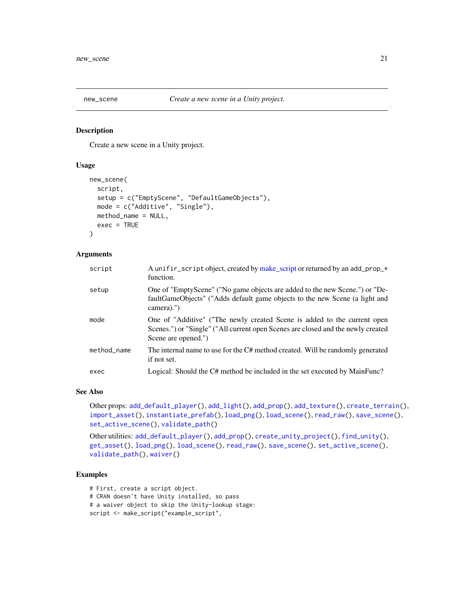<span id="page-20-1"></span><span id="page-20-0"></span>

Create a new scene in a Unity project.

#### Usage

```
new_scene(
  script,
  setup = c("EmptyScene", "DefaultGameObjects"),
 mode = c("Additive", "Single"),
  method_name = NULL,
  exec = TRUE
\lambda
```
#### Arguments

| function.                                                                                                                                                                           |
|-------------------------------------------------------------------------------------------------------------------------------------------------------------------------------------|
| One of "EmptyScene" ("No game objects are added to the new Scene.") or "De-<br>faultGameObjects" ("Adds default game objects to the new Scene (a light and<br>camera).")            |
| One of "Additive" ("The newly created Scene is added to the current open<br>Scenes.") or "Single" ("All current open Scenes are closed and the newly created<br>Scene are opened.") |
| The internal name to use for the C# method created. Will be randomly generated<br>if not set.                                                                                       |
| Logical: Should the C# method be included in the set executed by MainFunc?                                                                                                          |
|                                                                                                                                                                                     |

#### See Also

Other props: [add\\_default\\_player\(](#page-2-1)), [add\\_light\(](#page-5-1)), [add\\_prop\(](#page-6-1)), [add\\_texture\(](#page-7-1)), [create\\_terrain\(](#page-10-1)), [import\\_asset\(](#page-14-1)), [instantiate\\_prefab\(](#page-15-1)), [load\\_png\(](#page-17-1)), [load\\_scene\(](#page-18-1)), [read\\_raw\(](#page-21-1)), [save\\_scene\(](#page-22-1)), [set\\_active\\_scene\(](#page-23-1)), [validate\\_path\(](#page-26-1))

Other utilities: [add\\_default\\_player\(](#page-2-1)), [add\\_prop\(](#page-6-1)), [create\\_unity\\_project\(](#page-12-1)), [find\\_unity\(](#page-13-1)), [get\\_asset\(](#page-14-2)), [load\\_png\(](#page-17-1)), [load\\_scene\(](#page-18-1)), [read\\_raw\(](#page-21-1)), [save\\_scene\(](#page-22-1)), [set\\_active\\_scene\(](#page-23-1)), [validate\\_path\(](#page-26-1)), [waiver\(](#page-27-1))

#### Examples

# First, create a script object.

- # CRAN doesn't have Unity installed, so pass
- # a waiver object to skip the Unity-lookup stage:
- script <- make\_script("example\_script",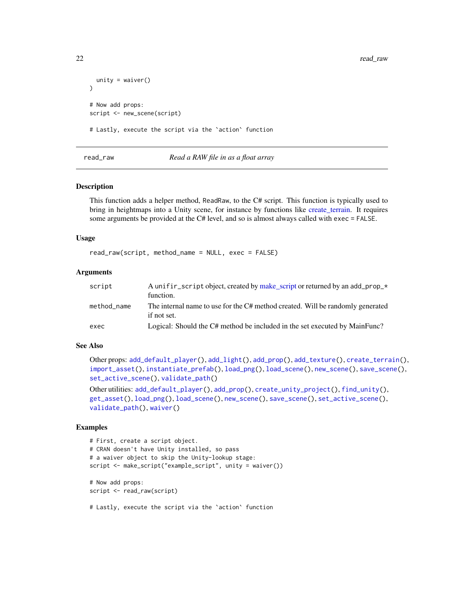```
unity = waire())
# Now add props:
script <- new_scene(script)
# Lastly, execute the script via the `action` function
```
#### <span id="page-21-1"></span>read\_raw *Read a RAW file in as a float array*

#### Description

This function adds a helper method, ReadRaw, to the C# script. This function is typically used to bring in heightmaps into a Unity scene, for instance by functions like [create\\_terrain.](#page-10-1) It requires some arguments be provided at the C# level, and so is almost always called with exec = FALSE.

#### Usage

```
read_raw(script, method_name = NULL, exec = FALSE)
```
#### Arguments

| script      | A unifir script object, created by make script or returned by an add prop $\star$<br>function. |
|-------------|------------------------------------------------------------------------------------------------|
| method_name | The internal name to use for the C# method created. Will be randomly generated<br>if not set.  |
| exec        | Logical: Should the C# method be included in the set executed by MainFunc?                     |

#### See Also

Other props: [add\\_default\\_player\(](#page-2-1)), [add\\_light\(](#page-5-1)), [add\\_prop\(](#page-6-1)), [add\\_texture\(](#page-7-1)), [create\\_terrain\(](#page-10-1)), [import\\_asset\(](#page-14-1)), [instantiate\\_prefab\(](#page-15-1)), [load\\_png\(](#page-17-1)), [load\\_scene\(](#page-18-1)), [new\\_scene\(](#page-20-1)), [save\\_scene\(](#page-22-1)), [set\\_active\\_scene\(](#page-23-1)), [validate\\_path\(](#page-26-1))

Other utilities: [add\\_default\\_player\(](#page-2-1)), [add\\_prop\(](#page-6-1)), [create\\_unity\\_project\(](#page-12-1)), [find\\_unity\(](#page-13-1)), [get\\_asset\(](#page-14-2)), [load\\_png\(](#page-17-1)), [load\\_scene\(](#page-18-1)), [new\\_scene\(](#page-20-1)), [save\\_scene\(](#page-22-1)), [set\\_active\\_scene\(](#page-23-1)), [validate\\_path\(](#page-26-1)), [waiver\(](#page-27-1))

#### Examples

```
# First, create a script object.
# CRAN doesn't have Unity installed, so pass
# a waiver object to skip the Unity-lookup stage:
script <- make_script("example_script", unity = waiver())
# Now add props:
script <- read_raw(script)
```
# Lastly, execute the script via the `action` function

<span id="page-21-0"></span>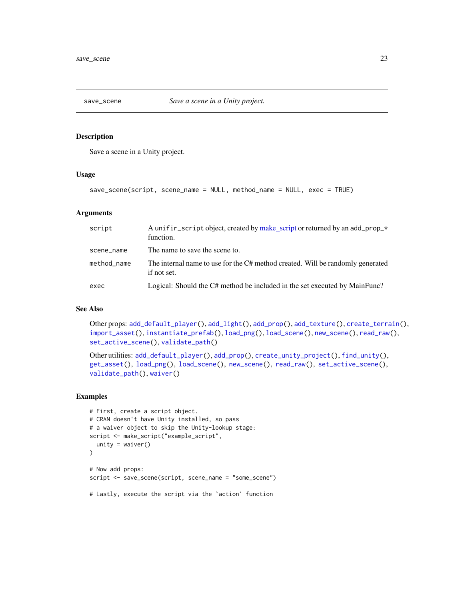<span id="page-22-1"></span><span id="page-22-0"></span>

Save a scene in a Unity project.

#### Usage

```
save_scene(script, scene_name = NULL, method_name = NULL, exec = TRUE)
```
#### Arguments

| script      | A unifir script object, created by make script or returned by an add prop $\star$<br>function. |
|-------------|------------------------------------------------------------------------------------------------|
| scene_name  | The name to save the scene to.                                                                 |
| method_name | The internal name to use for the C# method created. Will be randomly generated<br>if not set.  |
| exec        | Logical: Should the C# method be included in the set executed by MainFunc?                     |

#### See Also

Other props: [add\\_default\\_player\(](#page-2-1)), [add\\_light\(](#page-5-1)), [add\\_prop\(](#page-6-1)), [add\\_texture\(](#page-7-1)), [create\\_terrain\(](#page-10-1)), [import\\_asset\(](#page-14-1)), [instantiate\\_prefab\(](#page-15-1)), [load\\_png\(](#page-17-1)), [load\\_scene\(](#page-18-1)), [new\\_scene\(](#page-20-1)), [read\\_raw\(](#page-21-1)), [set\\_active\\_scene\(](#page-23-1)), [validate\\_path\(](#page-26-1))

```
Other utilities: add_default_player(), add_prop(), create_unity_project(), find_unity(),
get_asset(), load_png(), load_scene(), new_scene(), read_raw(), set_active_scene(),
validate_path(), waiver()
```

```
# First, create a script object.
# CRAN doesn't have Unity installed, so pass
# a waiver object to skip the Unity-lookup stage:
script <- make_script("example_script",
  unity = waire())
# Now add props:
script <- save_scene(script, scene_name = "some_scene")
# Lastly, execute the script via the `action` function
```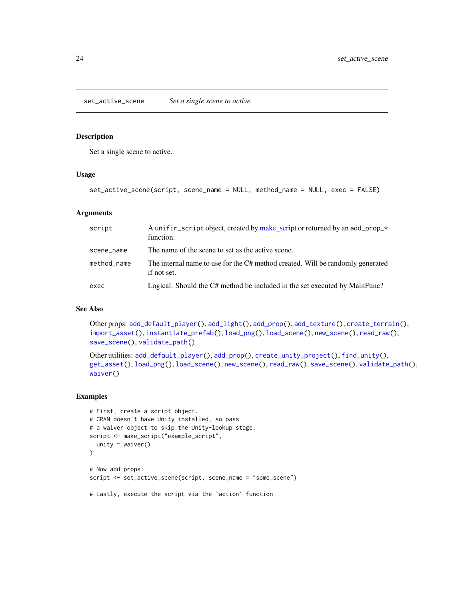<span id="page-23-1"></span><span id="page-23-0"></span>set\_active\_scene *Set a single scene to active.*

#### Description

Set a single scene to active.

#### Usage

```
set_active_scene(script, scene_name = NULL, method_name = NULL, exec = FALSE)
```
#### Arguments

| script      | A unifir script object, created by make script or returned by an add prop $\star$<br>function. |
|-------------|------------------------------------------------------------------------------------------------|
| scene_name  | The name of the scene to set as the active scene.                                              |
| method_name | The internal name to use for the C# method created. Will be randomly generated<br>if not set.  |
| exec        | Logical: Should the C# method be included in the set executed by MainFunc?                     |

#### See Also

Other props: [add\\_default\\_player\(](#page-2-1)), [add\\_light\(](#page-5-1)), [add\\_prop\(](#page-6-1)), [add\\_texture\(](#page-7-1)), [create\\_terrain\(](#page-10-1)), [import\\_asset\(](#page-14-1)), [instantiate\\_prefab\(](#page-15-1)), [load\\_png\(](#page-17-1)), [load\\_scene\(](#page-18-1)), [new\\_scene\(](#page-20-1)), [read\\_raw\(](#page-21-1)), [save\\_scene\(](#page-22-1)), [validate\\_path\(](#page-26-1))

```
Other utilities: add_default_player(), add_prop(), create_unity_project(), find_unity(),
get_asset(), load_png(), load_scene(), new_scene(), read_raw(), save_scene(), validate_path(),
waiver()
```

```
# First, create a script object.
# CRAN doesn't have Unity installed, so pass
# a waiver object to skip the Unity-lookup stage:
script <- make_script("example_script",
  unity = waire())
# Now add props:
script <- set_active_scene(script, scene_name = "some_scene")
# Lastly, execute the script via the `action` function
```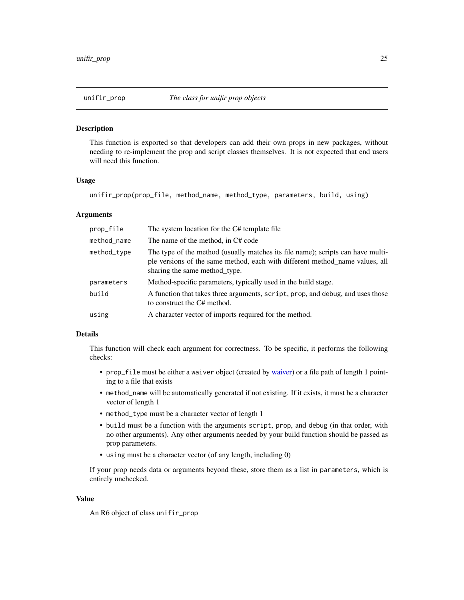<span id="page-24-1"></span><span id="page-24-0"></span>

This function is exported so that developers can add their own props in new packages, without needing to re-implement the prop and script classes themselves. It is not expected that end users will need this function.

#### Usage

unifir\_prop(prop\_file, method\_name, method\_type, parameters, build, using)

#### Arguments

| prop_file   | The system location for the C# template file                                                                                                                                                     |
|-------------|--------------------------------------------------------------------------------------------------------------------------------------------------------------------------------------------------|
| method_name | The name of the method, in C# code                                                                                                                                                               |
| method_type | The type of the method (usually matches its file name); scripts can have multi-<br>ple versions of the same method, each with different method_name values, all<br>sharing the same method_type. |
| parameters  | Method-specific parameters, typically used in the build stage.                                                                                                                                   |
| build       | A function that takes three arguments, script, prop, and debug, and uses those<br>to construct the C# method.                                                                                    |
| using       | A character vector of imports required for the method.                                                                                                                                           |

#### Details

This function will check each argument for correctness. To be specific, it performs the following checks:

- prop\_file must be either a waiver object (created by [waiver\)](#page-27-1) or a file path of length 1 pointing to a file that exists
- method\_name will be automatically generated if not existing. If it exists, it must be a character vector of length 1
- method\_type must be a character vector of length 1
- build must be a function with the arguments script, prop, and debug (in that order, with no other arguments). Any other arguments needed by your build function should be passed as prop parameters.
- using must be a character vector (of any length, including 0)

If your prop needs data or arguments beyond these, store them as a list in parameters, which is entirely unchecked.

#### Value

An R6 object of class unifir\_prop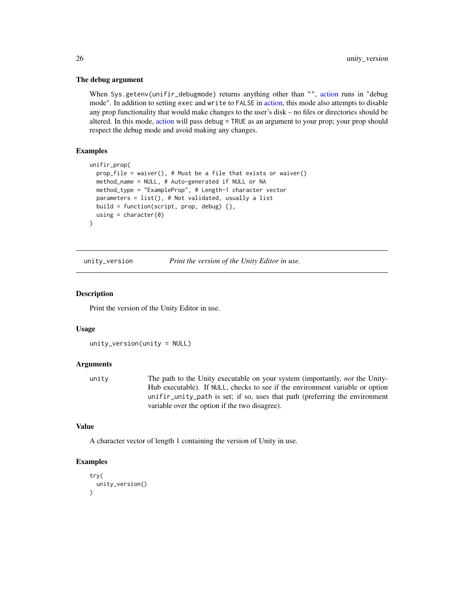#### The debug argument

When Sys.getenv(unifir\_debugmode) returns anything other than "", [action](#page-1-1) runs in "debug mode". In addition to setting exec and write to FALSE in [action,](#page-1-1) this mode also attempts to disable any prop functionality that would make changes to the user's disk – no files or directories should be altered. In this mode, [action](#page-1-1) will pass debug = TRUE as an argument to your prop; your prop should respect the debug mode and avoid making any changes.

#### **Examples**

```
unifir_prop(
  prop_file = waiver(), # Must be a file that exists or waiver()
  method_name = NULL, # Auto-generated if NULL or NA
  method_type = "ExampleProp", # Length-1 character vector
  parameters = list(), # Not validated, usually a list
  build = function(script, prop, debug) {},
  using = character(0))
```
unity\_version *Print the version of the Unity Editor in use.*

#### Description

Print the version of the Unity Editor in use.

#### Usage

```
unity_version(unity = NULL)
```
#### Arguments

unity The path to the Unity executable on your system (importantly, *not* the Unity-Hub executable). If NULL, checks to see if the environment variable or option unifir\_unity\_path is set; if so, uses that path (preferring the environment variable over the option if the two disagree).

#### Value

A character vector of length 1 containing the version of Unity in use.

```
try(
  unity_version()
\lambda
```
<span id="page-25-0"></span>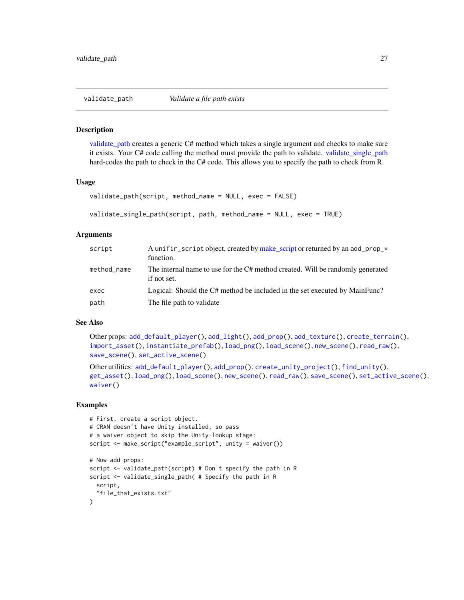<span id="page-26-2"></span><span id="page-26-1"></span><span id="page-26-0"></span>

[validate\\_path](#page-26-1) creates a generic C# method which takes a single argument and checks to make sure it exists. Your C# code calling the method must provide the path to validate. [validate\\_single\\_path](#page-26-2) hard-codes the path to check in the C# code. This allows you to specify the path to check from R.

#### Usage

```
validate_path(script, method_name = NULL, exec = FALSE)
```

```
validate_single_path(script, path, method_name = NULL, exec = TRUE)
```
#### Arguments

| script      | A unifir_script object, created by make_script or returned by an add_prop_*<br>function.      |
|-------------|-----------------------------------------------------------------------------------------------|
| method_name | The internal name to use for the C# method created. Will be randomly generated<br>if not set. |
| exec        | Logical: Should the C# method be included in the set executed by MainFunc?                    |
| path        | The file path to validate                                                                     |

#### See Also

Other props: [add\\_default\\_player\(](#page-2-1)), [add\\_light\(](#page-5-1)), [add\\_prop\(](#page-6-1)), [add\\_texture\(](#page-7-1)), [create\\_terrain\(](#page-10-1)), [import\\_asset\(](#page-14-1)), [instantiate\\_prefab\(](#page-15-1)), [load\\_png\(](#page-17-1)), [load\\_scene\(](#page-18-1)), [new\\_scene\(](#page-20-1)), [read\\_raw\(](#page-21-1)), [save\\_scene\(](#page-22-1)), [set\\_active\\_scene\(](#page-23-1))

```
Other utilities: add_default_player(), add_prop(), create_unity_project(), find_unity(),
get_asset(), load_png(), load_scene(), new_scene(), read_raw(), save_scene(), set_active_scene(),
waiver()
```

```
# First, create a script object.
# CRAN doesn't have Unity installed, so pass
# a waiver object to skip the Unity-lookup stage:
script <- make_script("example_script", unity = waiver())
# Now add props:
script <- validate_path(script) # Don't specify the path in R
script <- validate_single_path( # Specify the path in R
 script,
  "file_that_exists.txt"
)
```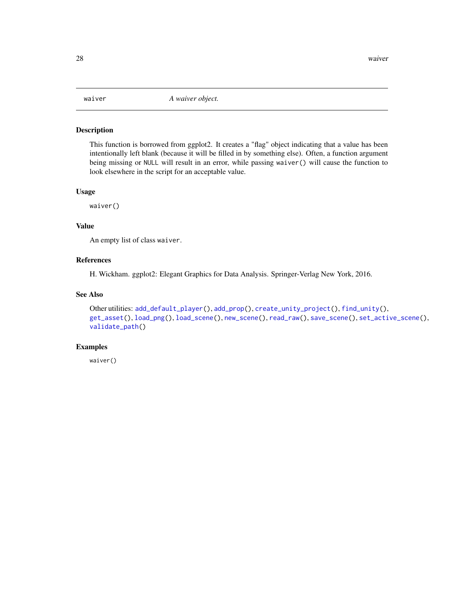<span id="page-27-1"></span><span id="page-27-0"></span>

This function is borrowed from ggplot2. It creates a "flag" object indicating that a value has been intentionally left blank (because it will be filled in by something else). Often, a function argument being missing or NULL will result in an error, while passing waiver() will cause the function to look elsewhere in the script for an acceptable value.

#### Usage

waiver()

#### Value

An empty list of class waiver.

#### References

H. Wickham. ggplot2: Elegant Graphics for Data Analysis. Springer-Verlag New York, 2016.

#### See Also

```
Other utilities: add_default_player(), add_prop(), create_unity_project(), find_unity(),
get_asset(), load_png(), load_scene(), new_scene(), read_raw(), save_scene(), set_active_scene(),
validate_path()
```
#### Examples

waiver()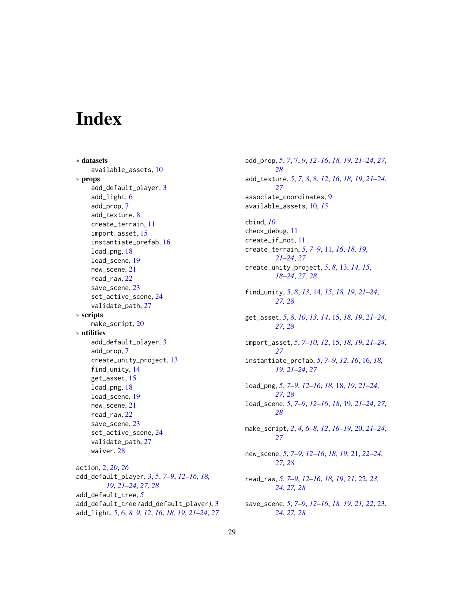# <span id="page-28-0"></span>**Index**

∗ datasets available\_assets, [10](#page-9-0) ∗ props add\_default\_player, [3](#page-2-0) add\_light, [6](#page-5-0) add\_prop, [7](#page-6-0) add\_texture, [8](#page-7-0) create\_terrain, [11](#page-10-0) import\_asset, [15](#page-14-0) instantiate\_prefab, [16](#page-15-0) load\_png, [18](#page-17-0) load\_scene, [19](#page-18-0) new\_scene, [21](#page-20-0) read\_raw, [22](#page-21-0) save\_scene, [23](#page-22-0) set\_active\_scene, [24](#page-23-0) validate\_path, [27](#page-26-0) ∗ scripts make\_script, [20](#page-19-0) ∗ utilities add\_default\_player, [3](#page-2-0) add\_prop, [7](#page-6-0) create\_unity\_project, [13](#page-12-0) find\_unity, [14](#page-13-0) get\_asset, [15](#page-14-0) load\_png, [18](#page-17-0) load\_scene, [19](#page-18-0) new scene, [21](#page-20-0) read\_raw, [22](#page-21-0) save\_scene, [23](#page-22-0) set\_active\_scene, [24](#page-23-0) validate\_path, [27](#page-26-0) waiver, [28](#page-27-0) action, [2,](#page-1-0) *[20](#page-19-0)*, *[26](#page-25-0)* add\_default\_player, [3,](#page-2-0) *[5](#page-4-0)*, *[7–](#page-6-0)[9](#page-8-0)*, *[12–](#page-11-0)[16](#page-15-0)*, *[18,](#page-17-0) [19](#page-18-0)*, *[21](#page-20-0)[–24](#page-23-0)*, *[27,](#page-26-0) [28](#page-27-0)* add\_default\_tree, *[5](#page-4-0)* add\_default\_tree *(*add\_default\_player*)*, [3](#page-2-0) add\_light, *[5](#page-4-0)*, [6,](#page-5-0) *[8,](#page-7-0) [9](#page-8-0)*, *[12](#page-11-0)*, *[16](#page-15-0)*, *[18,](#page-17-0) [19](#page-18-0)*, *[21–](#page-20-0)[24](#page-23-0)*, *[27](#page-26-0)*

add\_prop, *[5](#page-4-0)*, *[7](#page-6-0)*, [7,](#page-6-0) *[9](#page-8-0)*, *[12](#page-11-0)[–16](#page-15-0)*, *[18,](#page-17-0) [19](#page-18-0)*, *[21](#page-20-0)[–24](#page-23-0)*, *[27,](#page-26-0) [28](#page-27-0)* add\_texture, *[5](#page-4-0)*, *[7,](#page-6-0) [8](#page-7-0)*, [8,](#page-7-0) *[12](#page-11-0)*, *[16](#page-15-0)*, *[18,](#page-17-0) [19](#page-18-0)*, *[21](#page-20-0)[–24](#page-23-0)*, *[27](#page-26-0)* associate\_coordinates, [9](#page-8-0) available\_assets, [10,](#page-9-0) *[15](#page-14-0)* cbind, *[10](#page-9-0)* check\_debug, [11](#page-10-0) create\_if\_not, [11](#page-10-0) create\_terrain, *[5](#page-4-0)*, *[7](#page-6-0)[–9](#page-8-0)*, [11,](#page-10-0) *[16](#page-15-0)*, *[18,](#page-17-0) [19](#page-18-0)*, *[21](#page-20-0)[–24](#page-23-0)*, *[27](#page-26-0)* create\_unity\_project, *[5](#page-4-0)*, *[8](#page-7-0)*, [13,](#page-12-0) *[14,](#page-13-0) [15](#page-14-0)*, *[18](#page-17-0)[–24](#page-23-0)*, *[27,](#page-26-0) [28](#page-27-0)* find\_unity, *[5](#page-4-0)*, *[8](#page-7-0)*, *[13](#page-12-0)*, [14,](#page-13-0) *[15](#page-14-0)*, *[18,](#page-17-0) [19](#page-18-0)*, *[21](#page-20-0)[–24](#page-23-0)*, *[27,](#page-26-0) [28](#page-27-0)* get\_asset, *[5](#page-4-0)*, *[8](#page-7-0)*, *[10](#page-9-0)*, *[13,](#page-12-0) [14](#page-13-0)*, [15,](#page-14-0) *[18,](#page-17-0) [19](#page-18-0)*, *[21](#page-20-0)[–24](#page-23-0)*, *[27,](#page-26-0) [28](#page-27-0)* import\_asset, *[5](#page-4-0)*, *[7](#page-6-0)[–10](#page-9-0)*, *[12](#page-11-0)*, [15,](#page-14-0) *[18,](#page-17-0) [19](#page-18-0)*, *[21](#page-20-0)[–24](#page-23-0)*, *[27](#page-26-0)* instantiate\_prefab, *[5](#page-4-0)*, *[7](#page-6-0)[–9](#page-8-0)*, *[12](#page-11-0)*, *[16](#page-15-0)*, [16,](#page-15-0) *[18,](#page-17-0) [19](#page-18-0)*, *[21](#page-20-0)[–24](#page-23-0)*, *[27](#page-26-0)* load\_png, *[5](#page-4-0)*, *[7](#page-6-0)[–9](#page-8-0)*, *[12](#page-11-0)[–16](#page-15-0)*, *[18](#page-17-0)*, [18,](#page-17-0) *[19](#page-18-0)*, *[21](#page-20-0)[–24](#page-23-0)*, *[27,](#page-26-0) [28](#page-27-0)* load\_scene, *[5](#page-4-0)*, *[7](#page-6-0)[–9](#page-8-0)*, *[12](#page-11-0)[–16](#page-15-0)*, *[18](#page-17-0)*, [19,](#page-18-0) *[21](#page-20-0)[–24](#page-23-0)*, *[27,](#page-26-0) [28](#page-27-0)* make\_script, *[2](#page-1-0)*, *[4](#page-3-0)*, *[6](#page-5-0)[–8](#page-7-0)*, *[12](#page-11-0)*, *[16](#page-15-0)[–19](#page-18-0)*, [20,](#page-19-0) *[21](#page-20-0)[–24](#page-23-0)*, *[27](#page-26-0)* new\_scene, *[5](#page-4-0)*, *[7](#page-6-0)[–9](#page-8-0)*, *[12](#page-11-0)[–16](#page-15-0)*, *[18,](#page-17-0) [19](#page-18-0)*, [21,](#page-20-0) *[22](#page-21-0)[–24](#page-23-0)*, *[27,](#page-26-0) [28](#page-27-0)* read\_raw, *[5](#page-4-0)*, *[7](#page-6-0)[–9](#page-8-0)*, *[12](#page-11-0)[–16](#page-15-0)*, *[18,](#page-17-0) [19](#page-18-0)*, *[21](#page-20-0)*, [22,](#page-21-0) *[23,](#page-22-0) [24](#page-23-0)*, *[27,](#page-26-0) [28](#page-27-0)* save\_scene, *[5](#page-4-0)*, *[7](#page-6-0)[–9](#page-8-0)*, *[12](#page-11-0)[–16](#page-15-0)*, *[18,](#page-17-0) [19](#page-18-0)*, *[21,](#page-20-0) [22](#page-21-0)*, [23,](#page-22-0) *[24](#page-23-0)*, *[27,](#page-26-0) [28](#page-27-0)*